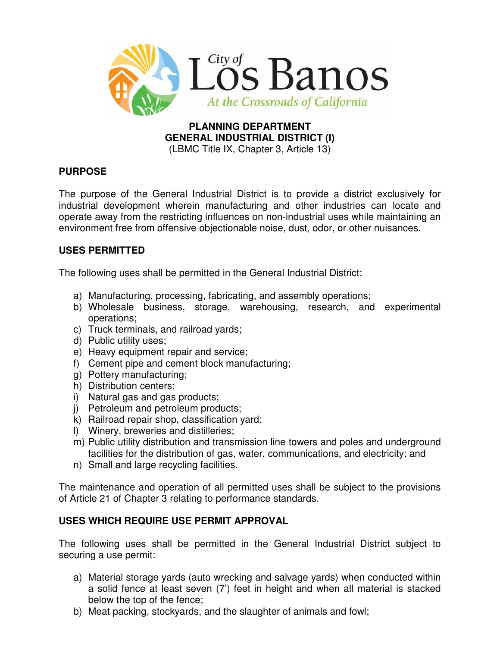

#### **PLANNING DEPARTMENT GENERAL INDUSTRIAL DISTRICT (I)**  (LBMC Title IX, Chapter 3, Article 13)

# **PURPOSE**

The purpose of the General Industrial District is to provide a district exclusively for industrial development wherein manufacturing and other industries can locate and operate away from the restricting influences on non-industrial uses while maintaining an environment free from offensive objectionable noise, dust, odor, or other nuisances.

# **USES PERMITTED**

The following uses shall be permitted in the General Industrial District:

- a) Manufacturing, processing, fabricating, and assembly operations;
- b) Wholesale business, storage, warehousing, research, and experimental operations;
- c) Truck terminals, and railroad yards;
- d) Public utility uses;
- e) Heavy equipment repair and service;
- f) Cement pipe and cement block manufacturing;
- g) Pottery manufacturing;
- h) Distribution centers;
- i) Natural gas and gas products;
- j) Petroleum and petroleum products;
- k) Railroad repair shop, classification yard;
- l) Winery, breweries and distilleries;
- m) Public utility distribution and transmission line towers and poles and underground facilities for the distribution of gas, water, communications, and electricity; and
- n) Small and large recycling facilities.

The maintenance and operation of all permitted uses shall be subject to the provisions of Article 21 of Chapter 3 relating to performance standards.

# **USES WHICH REQUIRE USE PERMIT APPROVAL**

The following uses shall be permitted in the General Industrial District subject to securing a use permit:

- a) Material storage yards (auto wrecking and salvage yards) when conducted within a solid fence at least seven (7') feet in height and when all material is stacked below the top of the fence;
- b) Meat packing, stockyards, and the slaughter of animals and fowl;